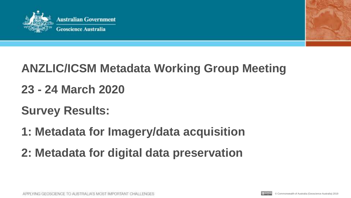



# **ANZLIC/ICSM Metadata Working Group Meeting**

### **23 - 24 March 2020**

# **Survey Results:**

- **1: Metadata for Imagery/data acquisition**
- **2: Metadata for digital data preservation**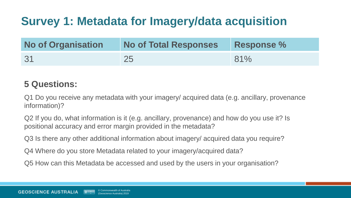## **Survey 1: Metadata for Imagery/data acquisition**

| <b>No of Organisation</b> | <b>No of Total Responses</b> | <b>Response %</b> |
|---------------------------|------------------------------|-------------------|
| 31                        |                              | 81%               |

#### **5 Questions:**

Q1 Do you receive any metadata with your imagery/ acquired data (e.g. ancillary, provenance information)?

Q2 If you do, what information is it (e.g. ancillary, provenance) and how do you use it? Is positional accuracy and error margin provided in the metadata?

Q3 Is there any other additional information about imagery/ acquired data you require?

Q4 Where do you store Metadata related to your imagery/acquired data?

Q5 How can this Metadata be accessed and used by the users in your organisation?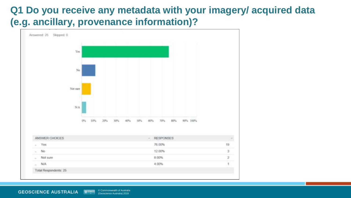#### **Q1 Do you receive any metadata with your imagery/ acquired data (e.g. ancillary, provenance information)?**

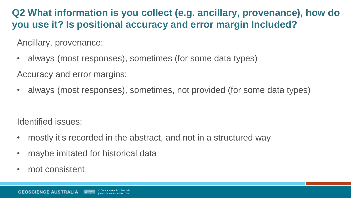### **Q2 What information is you collect (e.g. ancillary, provenance), how do you use it? Is positional accuracy and error margin Included?**

Ancillary, provenance:

• always (most responses), sometimes (for some data types)

Accuracy and error margins:

• always (most responses), sometimes, not provided (for some data types)

Identified issues:

- mostly it's recorded in the abstract, and not in a structured way
- maybe imitated for historical data
- mot consistent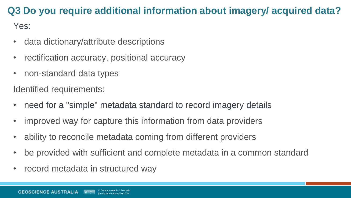### **Q3 Do you require additional information about imagery/ acquired data?**

Yes:

- data dictionary/attribute descriptions
- rectification accuracy, positional accuracy
- non-standard data types

Identified requirements:

- need for a "simple" metadata standard to record imagery details
- improved way for capture this information from data providers
- ability to reconcile metadata coming from different providers
- be provided with sufficient and complete metadata in a common standard
- record metadata in structured way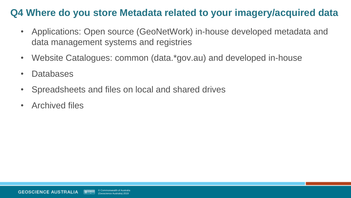#### **Q4 Where do you store Metadata related to your imagery/acquired data**

- Applications: Open source (GeoNetWork) in-house developed metadata and data management systems and registries
- Website Catalogues: common (data.\*gov.au) and developed in-house
- Databases
- Spreadsheets and files on local and shared drives
- Archived files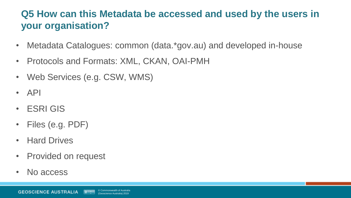### **Q5 How can this Metadata be accessed and used by the users in your organisation?**

- Metadata Catalogues: common (data.\*gov.au) and developed in-house
- Protocols and Formats: XML, CKAN, OAI-PMH
- Web Services (e.g. CSW, WMS)
- API
- ESRI GIS
- Files (e.g. PDF)
- Hard Drives
- Provided on request
- No access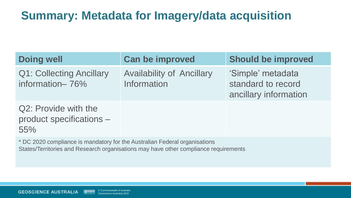### **Summary: Metadata for Imagery/data acquisition**

| <b>Doing well</b>                                       | <b>Can be improved</b>                          | <b>Should be improved</b>                                        |
|---------------------------------------------------------|-------------------------------------------------|------------------------------------------------------------------|
| <b>Q1: Collecting Ancillary</b><br>information-76%      | <b>Availability of Ancillary</b><br>Information | 'Simple' metadata<br>standard to record<br>ancillary information |
| Q2: Provide with the<br>product specifications -<br>55% |                                                 |                                                                  |
|                                                         |                                                 |                                                                  |

\* DC 2020 compliance is mandatory for the Australian Federal organisations States/Territories and Research organisations may have other compliance requirements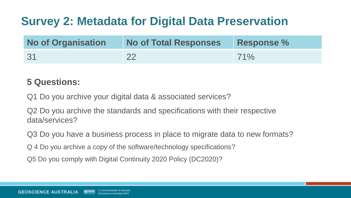### **Survey 2: Metadata for Digital Data Preservation**

| <b>No of Organisation</b> | <b>No of Total Responses</b> | <b>Response %</b> |
|---------------------------|------------------------------|-------------------|
| -31                       |                              | 71%               |

#### **5 Questions:**

Q1 Do you archive your digital data & associated services?

Q2 Do you archive the standards and specifications with their respective data/services?

Q3 Do you have a business process in place to migrate data to new formats?

Q 4 Do you archive a copy of the software/technology specifications?

Q5 Do you comply with Digital Continuity 2020 Policy (DC2020)?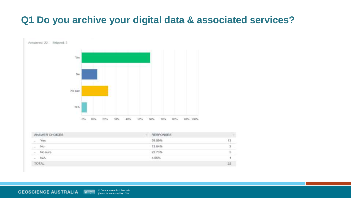### **Q1 Do you archive your digital data & associated services?**

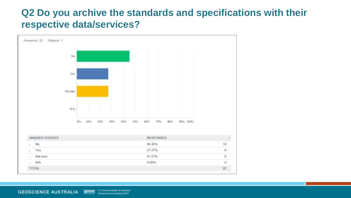#### **Q2 Do you archive the standards and specifications with their respective data/services?**

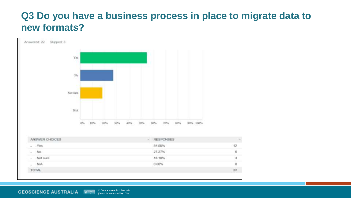#### **Q3 Do you have a business process in place to migrate data to new formats?**

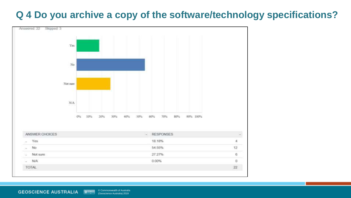#### **Q 4 Do you archive a copy of the software/technology specifications?**

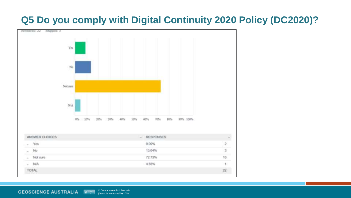### **Q5 Do you comply with Digital Continuity 2020 Policy (DC2020)?**

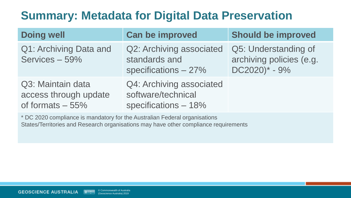### **Summary: Metadata for Digital Data Preservation**

| <b>Doing well</b>                                              | <b>Can be improved</b>                                                  | <b>Should be improved</b>                                                      |
|----------------------------------------------------------------|-------------------------------------------------------------------------|--------------------------------------------------------------------------------|
| Q1: Archiving Data and<br>Services - 59%                       | Q2: Archiving associated<br>standards and<br>specifications $-27%$      | Q5: Understanding of<br>archiving policies (e.g.<br>$DC2020$ <sup>*</sup> - 9% |
| Q3: Maintain data<br>access through update<br>of formats - 55% | Q4: Archiving associated<br>software/technical<br>specifications $-18%$ |                                                                                |

\* DC 2020 compliance is mandatory for the Australian Federal organisations States/Territories and Research organisations may have other compliance requirements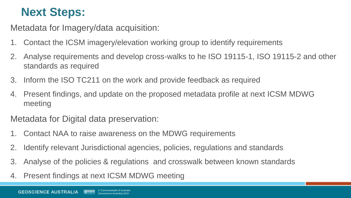### **Next Steps:**

Metadata for Imagery/data acquisition:

- 1. Contact the ICSM imagery/elevation working group to identify requirements
- 2. Analyse requirements and develop cross-walks to he ISO 19115-1, ISO 19115-2 and other standards as required
- 3. Inform the ISO TC211 on the work and provide feedback as required
- 4. Present findings, and update on the proposed metadata profile at next ICSM MDWG meeting

Metadata for Digital data preservation:

- 1. Contact NAA to raise awareness on the MDWG requirements
- 2. Identify relevant Jurisdictional agencies, policies, regulations and standards
- 3. Analyse of the policies & regulations and crosswalk between known standards
- 4. Present findings at next ICSM MDWG meeting